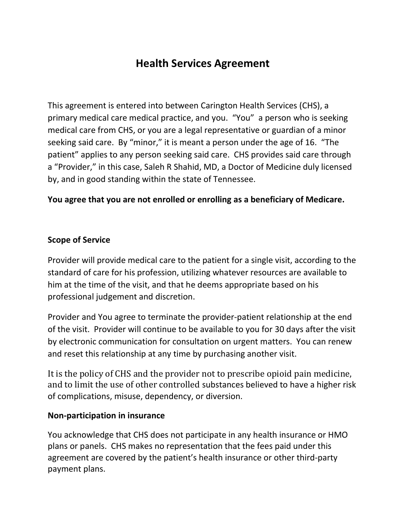# Health Services Agreement

This agreement is entered into between Carington Health Services (CHS), a primary medical care medical practice, and you. "You" a person who is seeking medical care from CHS, or you are a legal representative or guardian of a minor seeking said care. By "minor," it is meant a person under the age of 16. "The patient" applies to any person seeking said care. CHS provides said care through a "Provider," in this case, Saleh R Shahid, MD, a Doctor of Medicine duly licensed by, and in good standing within the state of Tennessee.

# You agree that you are not enrolled or enrolling as a beneficiary of Medicare.

# Scope of Service

Provider will provide medical care to the patient for a single visit, according to the standard of care for his profession, utilizing whatever resources are available to him at the time of the visit, and that he deems appropriate based on his professional judgement and discretion.

Provider and You agree to terminate the provider-patient relationship at the end of the visit. Provider will continue to be available to you for 30 days after the visit by electronic communication for consultation on urgent matters. You can renew and reset this relationship at any time by purchasing another visit.

It is the policy of CHS and the provider not to prescribe opioid pain medicine, and to limit the use of other controlled substances believed to have a higher risk of complications, misuse, dependency, or diversion.

# Non-participation in insurance

You acknowledge that CHS does not participate in any health insurance or HMO plans or panels. CHS makes no representation that the fees paid under this agreement are covered by the patient's health insurance or other third-party payment plans.